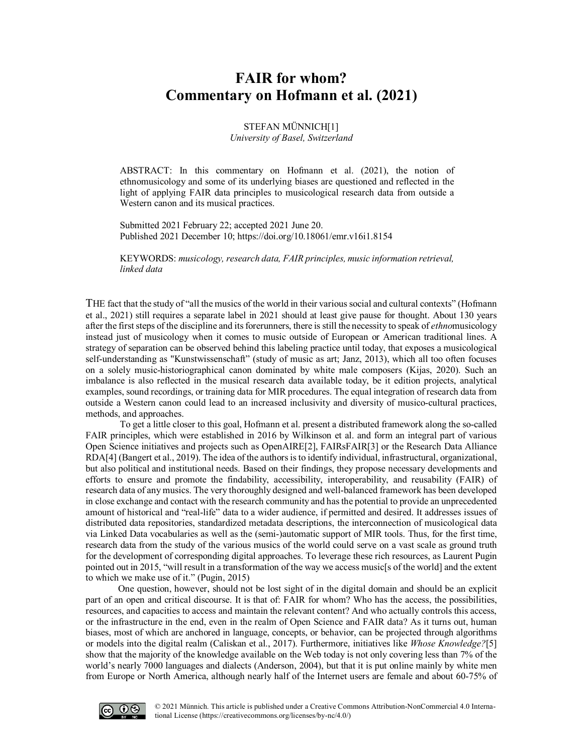## **FAIR for whom? Commentary on Hofmann et al. (2021)**

STEFAN MÜNNICH[1] *University of Basel, Switzerland*

ABSTRACT: In this commentary on Hofmann et al. (2021), the notion of ethnomusicology and some of its underlying biases are questioned and reflected in the light of applying FAIR data principles to musicological research data from outside a Western canon and its musical practices.

Submitted 2021 February 22; accepted 2021 June 20. Published 2021 Decembe[r 10; https://doi.org/10.18061/emr.v16i1.815](https://doi.org/10.18061/emr.v16i1.8154)4

KEYWORDS: *musicology, research data, FAIR principles, music information retrieval, linked data*

THE fact that the study of "all the musics of the world in their various social and cultural contexts" (Hofmann et al., 2021) still requires a separate label in 2021 should at least give pause for thought. About 130 years after the first steps of the discipline and its forerunners, there is still the necessity to speak of *ethno*musicology instead just of musicology when it comes to music outside of European or American traditional lines. A strategy of separation can be observed behind this labeling practice until today, that exposes a musicological self-understanding as "Kunstwissenschaft" (study of music as art; Janz, 2013), which all too often focuses on a solely music-historiographical canon dominated by white male composers (Kijas, 2020). Such an imbalance is also reflected in the musical research data available today, be it edition projects, analytical examples, sound recordings, or training data for MIR procedures. The equal integration of research data from outside a Western canon could lead to an increased inclusivity and diversity of musico-cultural practices, methods, and approaches.

To get a little closer to this goal, Hofmann et al. present a distributed framework along the so-called FAIR principles, which were established in 2016 by Wilkinson et al. and form an integral part of various Open Science initiatives and projects such as OpenAIRE[2], FAIRsFAIR[3] or the Research Data Alliance RDA[4] (Bangert et al., 2019). The idea of the authors is to identify individual, infrastructural, organizational, but also political and institutional needs. Based on their findings, they propose necessary developments and efforts to ensure and promote the findability, accessibility, interoperability, and reusability (FAIR) of research data of any musics. The very thoroughly designed and well-balanced framework has been developed in close exchange and contact with the research community and has the potential to provide an unprecedented amount of historical and "real-life" data to a wider audience, if permitted and desired. It addresses issues of distributed data repositories, standardized metadata descriptions, the interconnection of musicological data via Linked Data vocabularies as well as the (semi-)automatic support of MIR tools. Thus, for the first time, research data from the study of the various musics of the world could serve on a vast scale as ground truth for the development of corresponding digital approaches. To leverage these rich resources, as Laurent Pugin pointed out in 2015, "will result in a transformation of the way we access music[s of the world] and the extent to which we make use of it." (Pugin, 2015)

One question, however, should not be lost sight of in the digital domain and should be an explicit part of an open and critical discourse. It is that of: FAIR for whom? Who has the access, the possibilities, resources, and capacities to access and maintain the relevant content? And who actually controls this access, or the infrastructure in the end, even in the realm of Open Science and FAIR data? As it turns out, human biases, most of which are anchored in language, concepts, or behavior, can be projected through algorithms or models into the digital realm (Caliskan et al., 2017). Furthermore, initiatives like *Whose Knowledge?*[5] show that the majority of the knowledge available on the Web today is not only covering less than 7% of the world's nearly 7000 languages and dialects (Anderson, 2004), but that it is put online mainly by white men from Europe or North America, although nearly half of the Internet users are female and about 60-75% of

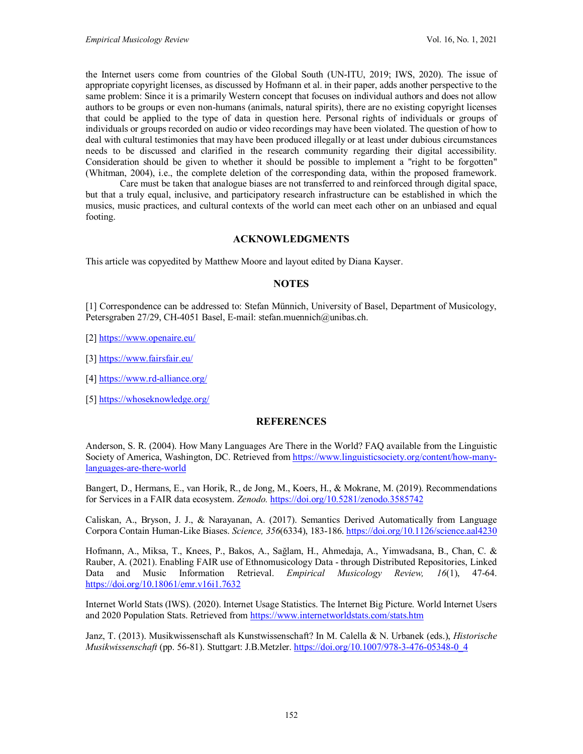the Internet users come from countries of the Global South (UN[-IT](https://www.itu.int/en/ITU-D/Statistics/Pages/facts/default.aspx)U, 2019; IWS, 2020). The issue of appropriate copyright licenses, as discussed by Hofmann et al. in their paper, adds another perspective to the same problem: Since it is a primarily Western concept that focuses on individual authors and does not allow authors to be groups or even non-humans (animals, natural spirits), there are no existing copyright licenses that could be applied to the type of data in question here. Personal rights of individuals or groups of individuals or groups recorded on audio or video recordings may have been violated. The question of how to deal with cultural testimonies that may have been produced illegally or at least under dubious circumstances needs to be discussed and clarified in the research community regarding their digital accessibility. Consideration should be given to whether it should be possible to implement a "right to be forgotten" (Whitman, 2004), i.e., the complete deletion of the corresponding data, within the proposed framework.

Care must be taken that analogue biases are not transferred to and reinforced through digital space, but that a truly equal, inclusive, and participatory research infrastructure can be established in which the musics, music practices, and cultural contexts of the world can meet each other on an unbiased and equal footing.

## **ACKNOWLEDGMENTS**

This article was copyedited by Matthew Moore and layout edited by Diana Kayser.

## **NOTES**

[1] Correspondence can be addressed to: Stefan Münnich, University of Basel, Department of Musicology, Petersgraben 27/29, CH-4051 Basel, E-mail: [stefan.muennich@unibas.ch.](mailto:stefan.muennich@unibas.ch)

[2]<https://www.openaire.eu/>

[3]<https://www.fairsfair.eu/>

[4]<https://www.rd-alliance.org/>

[5]<https://whoseknowledge.org/>

## **REFERENCES**

Anderson, S. R. (2004). How Many Languages Are There in the World? FAQ available from the Linguistic Society of America, Washington, DC. Retrieved fro[m https://www.linguisticsociety.org/content/how-many](https://www.linguisticsociety.org/content/how-many-languages-are-there-world)[languages-are-there-world](https://www.linguisticsociety.org/content/how-many-languages-are-there-world)

Bangert, D., Hermans, E., van Horik, R., de Jong, M., Koers, H., & Mokrane, M. (2019). Recommendations for Services in a FAIR data ecosystem. *Zenodo.* <https://doi.org/10.5281/zenodo.3585742>

Caliskan, A., Bryson, J. J., & Narayanan, A. (2017). Semantics Derived Automatically from Language Corpora Contain Human-Like Biases. *Science, 356*(6334), 183-186.<https://doi.org/10.1126/science.aal4230>

Hofmann, A., Miksa, T., Knees, P., Bakos, A., Sağlam, H., Ahmedaja, A., Yimwadsana, B., Chan, C. & Rauber, A. (2021). Enabling FAIR use of Ethnomusicology Data - through Distributed Repositories, Linked Data and Music Information Retrieval. *Empirical Musicology Review, 16*(1), 47-64. <https://doi.org/10.18061/emr.v16i1.7632>

Internet World Stats (IWS). (2020). Internet Usage Statistics. The Internet Big Picture. World Internet Users and 2020 Population Stats. Retrieved from<https://www.internetworldstats.com/stats.htm>

Janz, T. (2013). Musikwissenschaft als Kunstwissenschaft? In M. Calella & N. Urbanek (eds.), *Historische Musikwissenschaft* (pp. 56-81). Stuttgart: J.B.Metzler. [https://doi.org/10.1007/978-3-476-05348-0\\_4](https://doi.org/10.1007/978-3-476-05348-0_4)